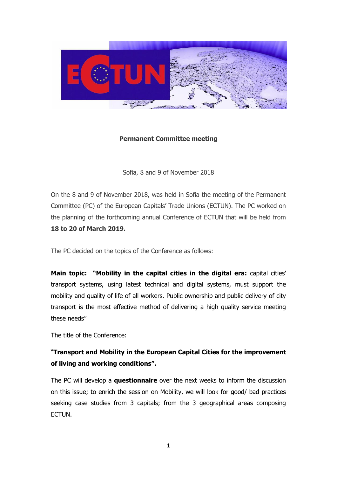

## **Permanent Committee meeting**

Sofia, 8 and 9 of November 2018

On the 8 and 9 of November 2018, was held in Sofia the meeting of the Permanent Committee (PC) of the European Capitals' Trade Unions (ECTUN). The PC worked on the planning of the forthcoming annual Conference of ECTUN that will be held from **18 to 20 of March 2019.**

The PC decided on the topics of the Conference as follows:

**Main topic: "Mobility in the capital cities in the digital era:** capital cities' transport systems, using latest technical and digital systems, must support the mobility and quality of life of all workers. Public ownership and public delivery of city transport is the most effective method of delivering a high quality service meeting these needs"

The title of the Conference:

## "**Transport and Mobility in the European Capital Cities for the improvement of living and working conditions".**

The PC will develop a **questionnaire** over the next weeks to inform the discussion on this issue; to enrich the session on Mobility, we will look for good/ bad practices seeking case studies from 3 capitals; from the 3 geographical areas composing ECTUN.